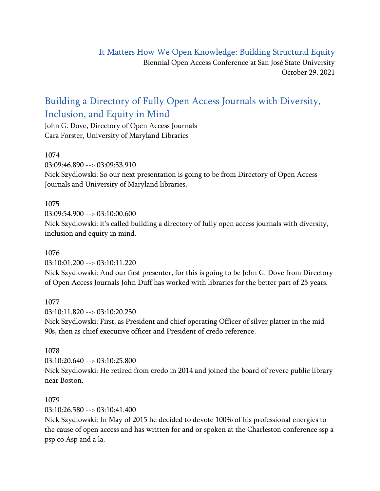## It Matters How We Open Knowledge: Building Structural Equity Biennial Open Access Conference at San José State University October 29, 2021

# Building a Directory of Fully Open Access Journals with Diversity, Inclusion, and Equity in Mind

John G. Dove, Directory of Open Access Journals Cara Forster, University of Maryland Libraries

## 1074

03:09:46.890 --> 03:09:53.910

Nick Szydlowski: So our next presentation is going to be from Directory of Open Access Journals and University of Maryland libraries.

## 1075

03:09:54.900 --> 03:10:00.600 Nick Szydlowski: it's called building a directory of fully open access journals with diversity, inclusion and equity in mind.

## 1076

03:10:01.200 --> 03:10:11.220

Nick Szydlowski: And our first presenter, for this is going to be John G. Dove from Directory of Open Access Journals John Duff has worked with libraries for the better part of 25 years.

## 1077

03:10:11.820 --> 03:10:20.250

Nick Szydlowski: First, as President and chief operating Officer of silver platter in the mid 90s, then as chief executive officer and President of credo reference.

## 1078

03:10:20.640 --> 03:10:25.800

Nick Szydlowski: He retired from credo in 2014 and joined the board of revere public library near Boston.

## 1079

03:10:26.580 --> 03:10:41.400

Nick Szydlowski: In May of 2015 he decided to devote 100% of his professional energies to the cause of open access and has written for and or spoken at the Charleston conference ssp a psp co Asp and a la.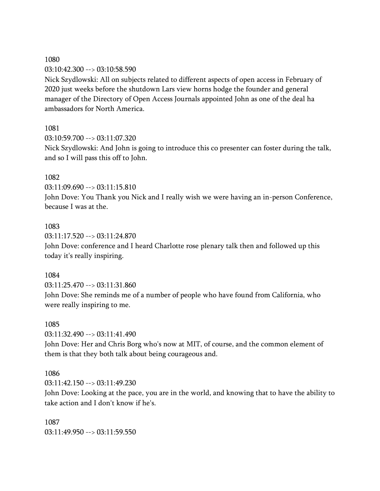1080

03:10:42.300 --> 03:10:58.590

Nick Szydlowski: All on subjects related to different aspects of open access in February of 2020 just weeks before the shutdown Lars view horns hodge the founder and general manager of the Directory of Open Access Journals appointed John as one of the deal ha ambassadors for North America.

## 1081

03:10:59.700 --> 03:11:07.320

Nick Szydlowski: And John is going to introduce this co presenter can foster during the talk, and so I will pass this off to John.

## 1082

03:11:09.690 --> 03:11:15.810

John Dove: You Thank you Nick and I really wish we were having an in-person Conference, because I was at the.

## 1083

03:11:17.520 --> 03:11:24.870

John Dove: conference and I heard Charlotte rose plenary talk then and followed up this today it's really inspiring.

### 1084

03:11:25.470 --> 03:11:31.860 John Dove: She reminds me of a number of people who have found from California, who were really inspiring to me.

### 1085

03:11:32.490 --> 03:11:41.490

John Dove: Her and Chris Borg who's now at MIT, of course, and the common element of them is that they both talk about being courageous and.

## 1086

03:11:42.150 --> 03:11:49.230

John Dove: Looking at the pace, you are in the world, and knowing that to have the ability to take action and I don't know if he's.

1087 03:11:49.950 --> 03:11:59.550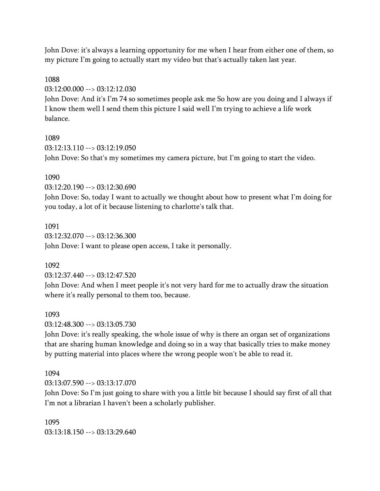John Dove: it's always a learning opportunity for me when I hear from either one of them, so my picture I'm going to actually start my video but that's actually taken last year.

#### 1088

03:12:00.000 --> 03:12:12.030

John Dove: And it's I'm 74 so sometimes people ask me So how are you doing and I always if I know them well I send them this picture I said well I'm trying to achieve a life work balance.

### 1089

 $03.12.13$  110 -->  $03.12.19$  050 John Dove: So that's my sometimes my camera picture, but I'm going to start the video.

## 1090

03:12:20.190 --> 03:12:30.690

John Dove: So, today I want to actually we thought about how to present what I'm doing for you today, a lot of it because listening to charlotte's talk that.

1091 03:12:32.070 --> 03:12:36.300 John Dove: I want to please open access, I take it personally.

## 1092

03:12:37.440 --> 03:12:47.520

John Dove: And when I meet people it's not very hard for me to actually draw the situation where it's really personal to them too, because.

### 1093

03:12:48.300 --> 03:13:05.730

John Dove: it's really speaking, the whole issue of why is there an organ set of organizations that are sharing human knowledge and doing so in a way that basically tries to make money by putting material into places where the wrong people won't be able to read it.

### 1094

 $03.13.07590 -> 03.13.17070$ 

John Dove: So I'm just going to share with you a little bit because I should say first of all that I'm not a librarian I haven't been a scholarly publisher.

1095 03:13:18.150 --> 03:13:29.640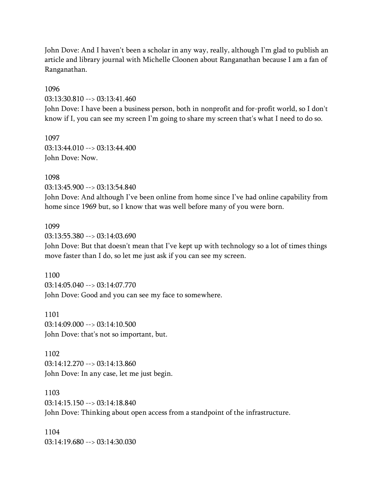John Dove: And I haven't been a scholar in any way, really, although I'm glad to publish an article and library journal with Michelle Cloonen about Ranganathan because I am a fan of Ranganathan.

1096 03:13:30.810 --> 03:13:41.460 John Dove: I have been a business person, both in nonprofit and for-profit world, so I don't know if I, you can see my screen I'm going to share my screen that's what I need to do so.

1097  $03:13:44.010 \rightarrow 03:13:44.400$ John Dove: Now.

1098 03:13:45.900 --> 03:13:54.840

John Dove: And although I've been online from home since I've had online capability from home since 1969 but, so I know that was well before many of you were born.

#### 1099

03:13:55.380 --> 03:14:03.690 John Dove: But that doesn't mean that I've kept up with technology so a lot of times things move faster than I do, so let me just ask if you can see my screen.

1100 03:14:05.040 --> 03:14:07.770 John Dove: Good and you can see my face to somewhere.

1101 03:14:09.000 --> 03:14:10.500 John Dove: that's not so important, but.

1102 03:14:12.270 --> 03:14:13.860 John Dove: In any case, let me just begin.

1103 03:14:15.150 --> 03:14:18.840 John Dove: Thinking about open access from a standpoint of the infrastructure.

1104 03:14:19.680 --> 03:14:30.030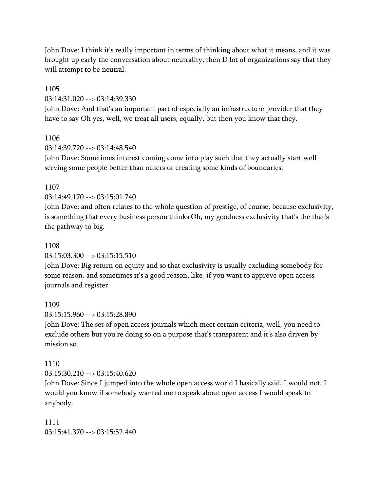John Dove: I think it's really important in terms of thinking about what it means, and it was brought up early the conversation about neutrality, then D lot of organizations say that they will attempt to be neutral.

## 1105 03:14:31.020 --> 03:14:39.330

John Dove: And that's an important part of especially an infrastructure provider that they have to say Oh yes, well, we treat all users, equally, but then you know that they.

## 1106

 $03.14.39720 -503.14.48540$ 

John Dove: Sometimes interest coming come into play such that they actually start well serving some people better than others or creating some kinds of boundaries.

## 1107

03:14:49.170 --> 03:15:01.740

John Dove: and often relates to the whole question of prestige, of course, because exclusivity, is something that every business person thinks Oh, my goodness exclusivity that's the that's the pathway to big.

## 1108

03:15:03.300 --> 03:15:15.510

John Dove: Big return on equity and so that exclusivity is usually excluding somebody for some reason, and sometimes it's a good reason, like, if you want to approve open access journals and register.

## 1109

03:15:15.960 --> 03:15:28.890

John Dove: The set of open access journals which meet certain criteria, well, you need to exclude others but you're doing so on a purpose that's transparent and it's also driven by mission so.

## 1110

03:15:30.210 --> 03:15:40.620

John Dove: Since I jumped into the whole open access world I basically said, I would not, I would you know if somebody wanted me to speak about open access I would speak to anybody.

1111 03:15:41.370 --> 03:15:52.440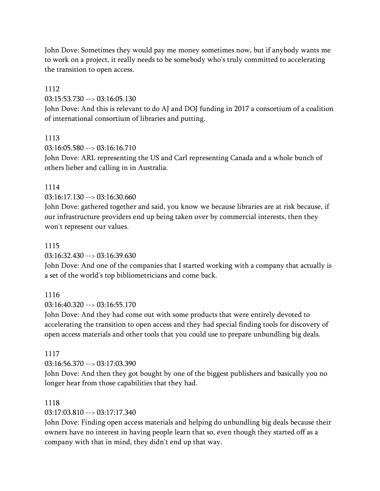John Dove: Sometimes they would pay me money sometimes now, but if anybody wants me to work on a project, it really needs to be somebody who's truly committed to accelerating the transition to open access.

## 1112

03:15:53.730 --> 03:16:05.130

John Dove: And this is relevant to do AJ and DOJ funding in 2017 a consortium of a coalition of international consortium of libraries and putting.

## 1113

 $03.16.05$  580 -->  $03.16.16$  710

John Dove: ARL representing the US and Carl representing Canada and a whole bunch of others lieber and calling in in Australia.

## 1114

03:16:17.130 --> 03:16:30.660

John Dove: gathered together and said, you know we because libraries are at risk because, if our infrastructure providers end up being taken over by commercial interests, then they won't represent our values.

## 1115

03:16:32.430 --> 03:16:39.630

John Dove: And one of the companies that I started working with a company that actually is a set of the world's top bibliometricians and come back.

## 1116

 $03:16:40.320 \rightarrow 03:16:55.170$ 

John Dove: And they had come out with some products that were entirely devoted to accelerating the transition to open access and they had special finding tools for discovery of open access materials and other tools that you could use to prepare unbundling big deals.

### 1117

03:16:56.370 --> 03:17:03.390

John Dove: And then they got bought by one of the biggest publishers and basically you no longer hear from those capabilities that they had.

### 1118

03:17:03.810 --> 03:17:17.340

John Dove: Finding open access materials and helping do unbundling big deals because their owners have no interest in having people learn that so, even though they started off as a company with that in mind, they didn't end up that way.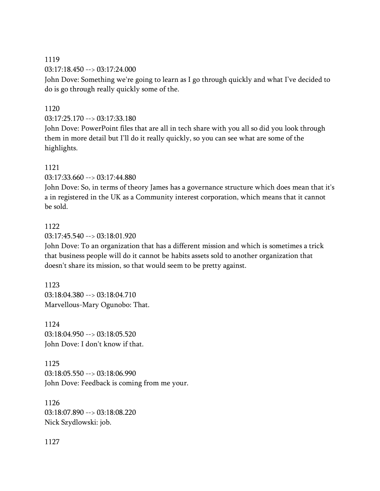### 1119

03:17:18.450 --> 03:17:24.000

John Dove: Something we're going to learn as I go through quickly and what I've decided to do is go through really quickly some of the.

## 1120

03:17:25.170 --> 03:17:33.180

John Dove: PowerPoint files that are all in tech share with you all so did you look through them in more detail but I'll do it really quickly, so you can see what are some of the highlights.

## 1121

03:17:33.660 --> 03:17:44.880

John Dove: So, in terms of theory James has a governance structure which does mean that it's a in registered in the UK as a Community interest corporation, which means that it cannot be sold.

## 1122

03:17:45.540 --> 03:18:01.920

John Dove: To an organization that has a different mission and which is sometimes a trick that business people will do it cannot be habits assets sold to another organization that doesn't share its mission, so that would seem to be pretty against.

1123 03:18:04.380 --> 03:18:04.710 Marvellous-Mary Ogunobo: That.

1124 03:18:04.950 --> 03:18:05.520 John Dove: I don't know if that.

1125  $03:18:05.550 \rightarrow 03:18:06.990$ John Dove: Feedback is coming from me your.

1126 03:18:07.890 --> 03:18:08.220 Nick Szydlowski: job.

1127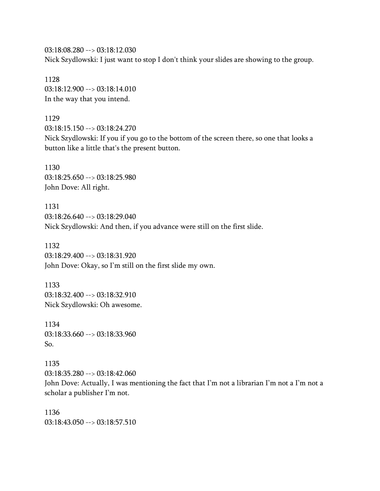03:18:08.280 --> 03:18:12.030 Nick Szydlowski: I just want to stop I don't think your slides are showing to the group.

1128 03:18:12.900 --> 03:18:14.010 In the way that you intend.

1129 03:18:15.150 --> 03:18:24.270 Nick Szydlowski: If you if you go to the bottom of the screen there, so one that looks a button like a little that's the present button.

1130 03:18:25.650 --> 03:18:25.980 John Dove: All right.

1131 03:18:26.640 --> 03:18:29.040 Nick Szydlowski: And then, if you advance were still on the first slide.

1132 03:18:29.400 --> 03:18:31.920 John Dove: Okay, so I'm still on the first slide my own.

1133 03:18:32.400 --> 03:18:32.910 Nick Szydlowski: Oh awesome.

1134 03:18:33.660 --> 03:18:33.960 So.

1135 03:18:35.280 --> 03:18:42.060 John Dove: Actually, I was mentioning the fact that I'm not a librarian I'm not a I'm not a scholar a publisher I'm not.

1136 03:18:43.050 --> 03:18:57.510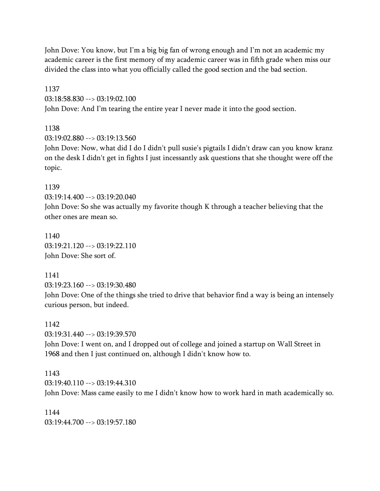John Dove: You know, but I'm a big big fan of wrong enough and I'm not an academic my academic career is the first memory of my academic career was in fifth grade when miss our divided the class into what you officially called the good section and the bad section.

1137 03:18:58.830 --> 03:19:02.100 John Dove: And I'm tearing the entire year I never made it into the good section.

1138

 $03:19:02.880 \rightarrow 03:19:13.560$ 

John Dove: Now, what did I do I didn't pull susie's pigtails I didn't draw can you know kranz on the desk I didn't get in fights I just incessantly ask questions that she thought were off the topic.

1139 03:19:14.400 --> 03:19:20.040

John Dove: So she was actually my favorite though K through a teacher believing that the other ones are mean so.

1140 03:19:21.120 --> 03:19:22.110 John Dove: She sort of.

1141 03:19:23.160 --> 03:19:30.480 John Dove: One of the things she tried to drive that behavior find a way is being an intensely curious person, but indeed.

1142 03:19:31.440 --> 03:19:39.570 John Dove: I went on, and I dropped out of college and joined a startup on Wall Street in 1968 and then I just continued on, although I didn't know how to.

1143 03:19:40.110 --> 03:19:44.310 John Dove: Mass came easily to me I didn't know how to work hard in math academically so.

1144 03:19:44.700 --> 03:19:57.180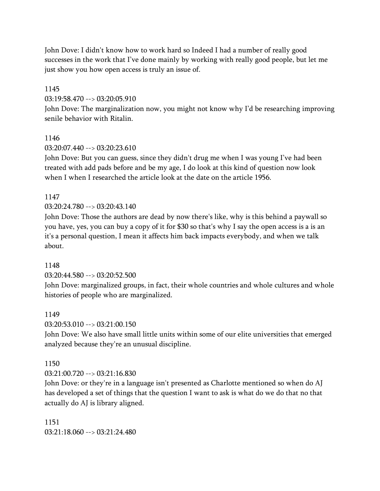John Dove: I didn't know how to work hard so Indeed I had a number of really good successes in the work that I've done mainly by working with really good people, but let me just show you how open access is truly an issue of.

#### 1145

03:19:58.470 --> 03:20:05.910

John Dove: The marginalization now, you might not know why I'd be researching improving senile behavior with Ritalin.

#### 1146

 $03.20 \cdot 07.440 \rightarrow 03.20 \cdot 23.610$ 

John Dove: But you can guess, since they didn't drug me when I was young I've had been treated with add pads before and be my age, I do look at this kind of question now look when I when I researched the article look at the date on the article 1956.

### 1147

03:20:24.780 --> 03:20:43.140

John Dove: Those the authors are dead by now there's like, why is this behind a paywall so you have, yes, you can buy a copy of it for \$30 so that's why I say the open access is a is an it's a personal question, I mean it affects him back impacts everybody, and when we talk about.

### 1148

03:20:44.580 --> 03:20:52.500

John Dove: marginalized groups, in fact, their whole countries and whole cultures and whole histories of people who are marginalized.

#### 1149

03:20:53.010 --> 03:21:00.150

John Dove: We also have small little units within some of our elite universities that emerged analyzed because they're an unusual discipline.

#### 1150

03:21:00.720 --> 03:21:16.830

John Dove: or they're in a language isn't presented as Charlotte mentioned so when do AJ has developed a set of things that the question I want to ask is what do we do that no that actually do AJ is library aligned.

1151 03:21:18.060 --> 03:21:24.480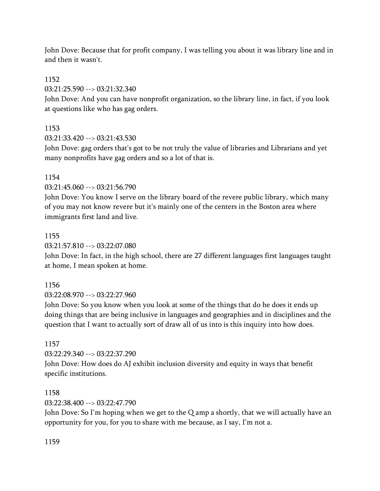John Dove: Because that for profit company, I was telling you about it was library line and in and then it wasn't.

### 1152

03:21:25.590 --> 03:21:32.340

John Dove: And you can have nonprofit organization, so the library line, in fact, if you look at questions like who has gag orders.

## 1153

03:21:33.420 --> 03:21:43.530

John Dove: gag orders that's got to be not truly the value of libraries and Librarians and yet many nonprofits have gag orders and so a lot of that is.

### 1154

03:21:45.060 --> 03:21:56.790

John Dove: You know I serve on the library board of the revere public library, which many of you may not know revere but it's mainly one of the centers in the Boston area where immigrants first land and live.

## 1155

03:21:57.810 --> 03:22:07.080

John Dove: In fact, in the high school, there are 27 different languages first languages taught at home, I mean spoken at home.

## 1156

03:22:08.970 --> 03:22:27.960

John Dove: So you know when you look at some of the things that do he does it ends up doing things that are being inclusive in languages and geographies and in disciplines and the question that I want to actually sort of draw all of us into is this inquiry into how does.

## 1157

03:22:29.340 --> 03:22:37.290

John Dove: How does do AJ exhibit inclusion diversity and equity in ways that benefit specific institutions.

## 1158

03:22:38.400 --> 03:22:47.790

John Dove: So I'm hoping when we get to the Q amp a shortly, that we will actually have an opportunity for you, for you to share with me because, as I say, I'm not a.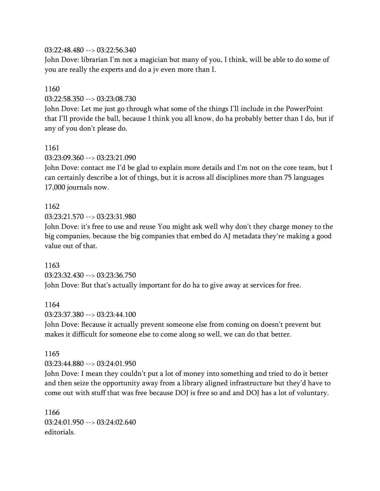### 03:22:48.480 --> 03:22:56.340

John Dove: librarian I'm not a magician but many of you, I think, will be able to do some of you are really the experts and do a jv even more than I.

### 1160

03:22:58.350 --> 03:23:08.730

John Dove: Let me just go through what some of the things I'll include in the PowerPoint that I'll provide the ball, because I think you all know, do ha probably better than I do, but if any of you don't please do.

## 1161 03:23:09.360 --> 03:23:21.090

John Dove: contact me I'd be glad to explain more details and I'm not on the core team, but I can certainly describe a lot of things, but it is across all disciplines more than 75 languages 17,000 journals now.

## 1162

03:23:21.570 --> 03:23:31.980

John Dove: it's free to use and reuse You might ask well why don't they charge money to the big companies, because the big companies that embed do AJ metadata they're making a good value out of that.

1163 03:23:32.430 --> 03:23:36.750 John Dove: But that's actually important for do ha to give away at services for free.

### 1164

03:23:37.380 --> 03:23:44.100

John Dove: Because it actually prevent someone else from coming on doesn't prevent but makes it difficult for someone else to come along so well, we can do that better.

#### 1165 03:23:44.880 --> 03:24:01.950

John Dove: I mean they couldn't put a lot of money into something and tried to do it better and then seize the opportunity away from a library aligned infrastructure but they'd have to come out with stuff that was free because DOJ is free so and and DOJ has a lot of voluntary.

1166 03:24:01.950 --> 03:24:02.640 editorials.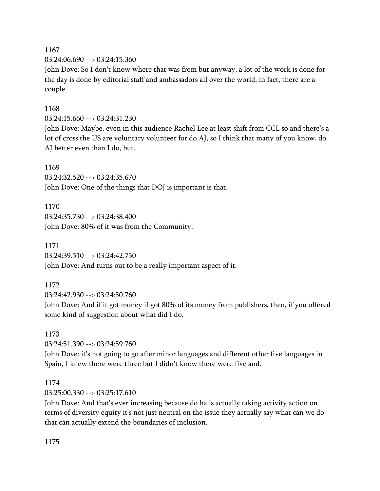1167 03:24:06.690 --> 03:24:15.360

John Dove: So I don't know where that was from but anyway, a lot of the work is done for the day is done by editorial staff and ambassadors all over the world, in fact, there are a couple.

## 1168

03:24:15.660 --> 03:24:31.230

John Dove: Maybe, even in this audience Rachel Lee at least shift from CCL so and there's a lot of cross the US are voluntary volunteer for do AJ, so I think that many of you know, do AJ better even than I do, but.

### 1169

03:24:32.520 --> 03:24:35.670 John Dove: One of the things that DOJ is important is that.

1170 03:24:35.730 --> 03:24:38.400 John Dove: 80% of it was from the Community.

1171 03:24:39.510 --> 03:24:42.750 John Dove: And turns out to be a really important aspect of it.

## 1172

03:24:42.930 --> 03:24:50.760

John Dove: And if it got money if got 80% of its money from publishers, then, if you offered some kind of suggestion about what did I do.

# 1173 03:24:51.390 --> 03:24:59.760

John Dove: it's not going to go after minor languages and different other five languages in Spain, I knew there were three but I didn't know there were five and.

## 1174

03:25:00.330 --> 03:25:17.610

John Dove: And that's ever increasing because do ha is actually taking activity action on terms of diversity equity it's not just neutral on the issue they actually say what can we do that can actually extend the boundaries of inclusion.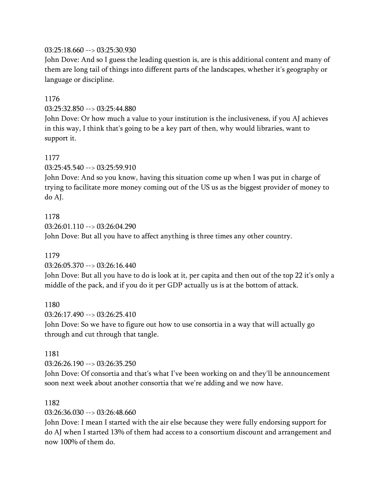## 03:25:18.660 --> 03:25:30.930

John Dove: And so I guess the leading question is, are is this additional content and many of them are long tail of things into different parts of the landscapes, whether it's geography or language or discipline.

### 1176

03:25:32.850 --> 03:25:44.880

John Dove: Or how much a value to your institution is the inclusiveness, if you AJ achieves in this way, I think that's going to be a key part of then, why would libraries, want to support it.

## 1177

03:25:45.540 --> 03:25:59.910

John Dove: And so you know, having this situation come up when I was put in charge of trying to facilitate more money coming out of the US us as the biggest provider of money to do AJ.

1178  $03:26:01.110 \rightarrow 03:26:04.290$ John Dove: But all you have to affect anything is three times any other country.

## 1179

03:26:05.370 --> 03:26:16.440

John Dove: But all you have to do is look at it, per capita and then out of the top 22 it's only a middle of the pack, and if you do it per GDP actually us is at the bottom of attack.

1180

03:26:17.490 --> 03:26:25.410

John Dove: So we have to figure out how to use consortia in a way that will actually go through and cut through that tangle.

### 1181

03:26:26.190 --> 03:26:35.250

John Dove: Of consortia and that's what I've been working on and they'll be announcement soon next week about another consortia that we're adding and we now have.

### 1182

03:26:36.030 --> 03:26:48.660

John Dove: I mean I started with the air else because they were fully endorsing support for do AJ when I started 13% of them had access to a consortium discount and arrangement and now 100% of them do.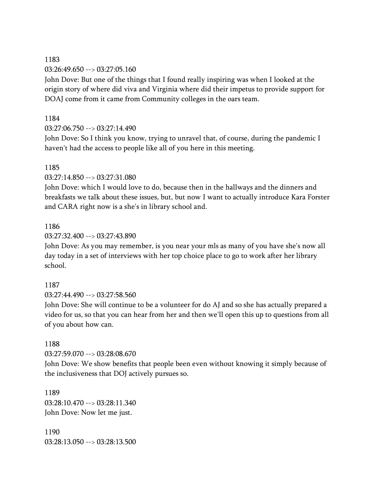## 1183

03:26:49.650 --> 03:27:05.160

John Dove: But one of the things that I found really inspiring was when I looked at the origin story of where did viva and Virginia where did their impetus to provide support for DOAJ come from it came from Community colleges in the oars team.

## 1184

 $03:27:06.750 \rightarrow 03:27:14.490$ 

John Dove: So I think you know, trying to unravel that, of course, during the pandemic I haven't had the access to people like all of you here in this meeting.

## 1185

03:27:14.850 --> 03:27:31.080

John Dove: which I would love to do, because then in the hallways and the dinners and breakfasts we talk about these issues, but, but now I want to actually introduce Kara Forster and CARA right now is a she's in library school and.

## 1186

03:27:32.400 --> 03:27:43.890

John Dove: As you may remember, is you near your mls as many of you have she's now all day today in a set of interviews with her top choice place to go to work after her library school.

## 1187

03:27:44.490 --> 03:27:58.560

John Dove: She will continue to be a volunteer for do AJ and so she has actually prepared a video for us, so that you can hear from her and then we'll open this up to questions from all of you about how can.

### 1188

03:27:59.070 --> 03:28:08.670

John Dove: We show benefits that people been even without knowing it simply because of the inclusiveness that DOJ actively pursues so.

1189 03:28:10.470 --> 03:28:11.340 John Dove: Now let me just.

1190 03:28:13.050 --> 03:28:13.500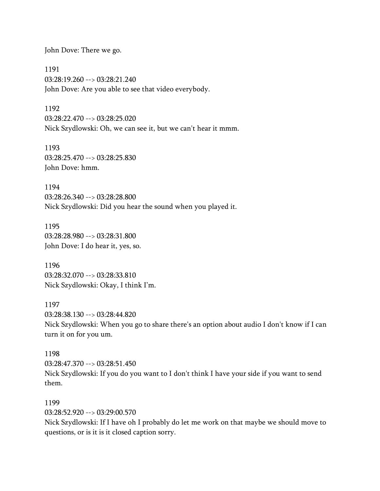John Dove: There we go.

1191 03:28:19.260 --> 03:28:21.240 John Dove: Are you able to see that video everybody.

1192 03:28:22.470 --> 03:28:25.020 Nick Szydlowski: Oh, we can see it, but we can't hear it mmm.

1193 03:28:25.470 --> 03:28:25.830 John Dove: hmm.

1194 03:28:26.340 --> 03:28:28.800 Nick Szydlowski: Did you hear the sound when you played it.

1195 03:28:28.980 --> 03:28:31.800 John Dove: I do hear it, yes, so.

1196 03:28:32.070 --> 03:28:33.810 Nick Szydlowski: Okay, I think I'm.

1197 03:28:38.130 --> 03:28:44.820 Nick Szydlowski: When you go to share there's an option about audio I don't know if I can turn it on for you um.

1198 03:28:47.370 --> 03:28:51.450 Nick Szydlowski: If you do you want to I don't think I have your side if you want to send them.

1199 03:28:52.920 --> 03:29:00.570 Nick Szydlowski: If I have oh I probably do let me work on that maybe we should move to questions, or is it is it closed caption sorry.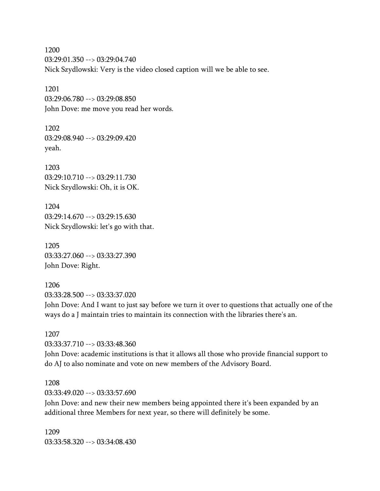1200 03:29:01.350 --> 03:29:04.740 Nick Szydlowski: Very is the video closed caption will we be able to see.

1201 03:29:06.780 --> 03:29:08.850 John Dove: me move you read her words.

1202 03:29:08.940 --> 03:29:09.420 yeah.

1203 03:29:10.710 --> 03:29:11.730 Nick Szydlowski: Oh, it is OK.

1204 03:29:14.670 --> 03:29:15.630 Nick Szydlowski: let's go with that.

1205 03:33:27.060 --> 03:33:27.390 John Dove: Right.

1206 03:33:28.500 --> 03:33:37.020 John Dove: And I want to just say before we turn it over to questions that actually one of the ways do a J maintain tries to maintain its connection with the libraries there's an.

1207 03:33:37.710 --> 03:33:48.360

John Dove: academic institutions is that it allows all those who provide financial support to do AJ to also nominate and vote on new members of the Advisory Board.

## 1208 03:33:49.020 --> 03:33:57.690

John Dove: and new their new members being appointed there it's been expanded by an additional three Members for next year, so there will definitely be some.

1209 03:33:58.320 --> 03:34:08.430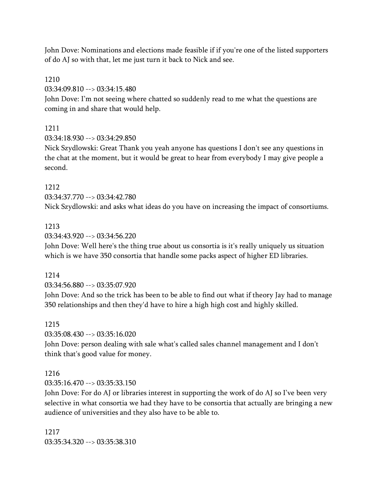John Dove: Nominations and elections made feasible if if you're one of the listed supporters of do AJ so with that, let me just turn it back to Nick and see.

### 1210

03:34:09.810 --> 03:34:15.480

John Dove: I'm not seeing where chatted so suddenly read to me what the questions are coming in and share that would help.

## 1211

03:34:18.930 --> 03:34:29.850

Nick Szydlowski: Great Thank you yeah anyone has questions I don't see any questions in the chat at the moment, but it would be great to hear from everybody I may give people a second.

## 1212

03:34:37.770 --> 03:34:42.780

Nick Szydlowski: and asks what ideas do you have on increasing the impact of consortiums.

## 1213

03:34:43.920 --> 03:34:56.220

John Dove: Well here's the thing true about us consortia is it's really uniquely us situation which is we have 350 consortia that handle some packs aspect of higher ED libraries.

### 1214

03:34:56.880 --> 03:35:07.920

John Dove: And so the trick has been to be able to find out what if theory Jay had to manage 350 relationships and then they'd have to hire a high high cost and highly skilled.

## 1215

03:35:08.430 --> 03:35:16.020

John Dove: person dealing with sale what's called sales channel management and I don't think that's good value for money.

## 1216

 $03:35:16.470 \rightarrow 03:35:33.150$ 

John Dove: For do AJ or libraries interest in supporting the work of do AJ so I've been very selective in what consortia we had they have to be consortia that actually are bringing a new audience of universities and they also have to be able to.

1217 03:35:34.320 --> 03:35:38.310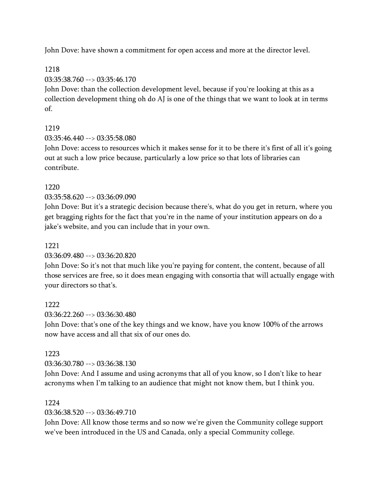John Dove: have shown a commitment for open access and more at the director level.

1218

03:35:38.760 --> 03:35:46.170

John Dove: than the collection development level, because if you're looking at this as a collection development thing oh do AJ is one of the things that we want to look at in terms of.

## 1219

03:35:46.440 --> 03:35:58.080

John Dove: access to resources which it makes sense for it to be there it's first of all it's going out at such a low price because, particularly a low price so that lots of libraries can contribute.

## 1220

03:35:58.620 --> 03:36:09.090

John Dove: But it's a strategic decision because there's, what do you get in return, where you get bragging rights for the fact that you're in the name of your institution appears on do a jake's website, and you can include that in your own.

## 1221

03:36:09.480 --> 03:36:20.820

John Dove: So it's not that much like you're paying for content, the content, because of all those services are free, so it does mean engaging with consortia that will actually engage with your directors so that's.

### 1222

03:36:22.260 --> 03:36:30.480

John Dove: that's one of the key things and we know, have you know 100% of the arrows now have access and all that six of our ones do.

## 1223

03:36:30.780 --> 03:36:38.130

John Dove: And I assume and using acronyms that all of you know, so I don't like to hear acronyms when I'm talking to an audience that might not know them, but I think you.

### 1224

03:36:38.520 --> 03:36:49.710

John Dove: All know those terms and so now we're given the Community college support we've been introduced in the US and Canada, only a special Community college.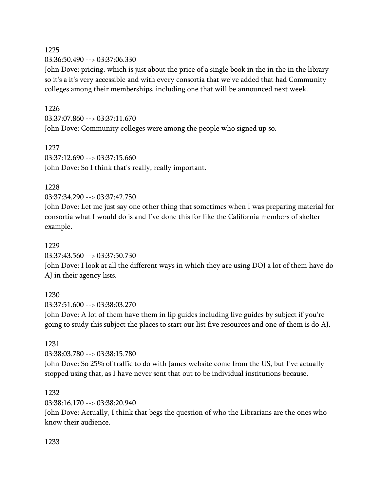### 1225

03:36:50.490 --> 03:37:06.330

John Dove: pricing, which is just about the price of a single book in the in the in the library so it's a it's very accessible and with every consortia that we've added that had Community colleges among their memberships, including one that will be announced next week.

## 1226

03:37:07.860 --> 03:37:11.670 John Dove: Community colleges were among the people who signed up so.

1227  $03:37:12.690 \rightarrow 03:37:15.660$ John Dove: So I think that's really, really important.

## 1228

03:37:34.290 --> 03:37:42.750

John Dove: Let me just say one other thing that sometimes when I was preparing material for consortia what I would do is and I've done this for like the California members of skelter example.

## 1229

03:37:43.560 --> 03:37:50.730

John Dove: I look at all the different ways in which they are using DOJ a lot of them have do AJ in their agency lists.

## 1230

03:37:51.600 --> 03:38:03.270

John Dove: A lot of them have them in lip guides including live guides by subject if you're going to study this subject the places to start our list five resources and one of them is do AJ.

## 1231

03:38:03.780 --> 03:38:15.780

John Dove: So 25% of traffic to do with James website come from the US, but I've actually stopped using that, as I have never sent that out to be individual institutions because.

## 1232

03:38:16.170 --> 03:38:20.940

John Dove: Actually, I think that begs the question of who the Librarians are the ones who know their audience.

## 1233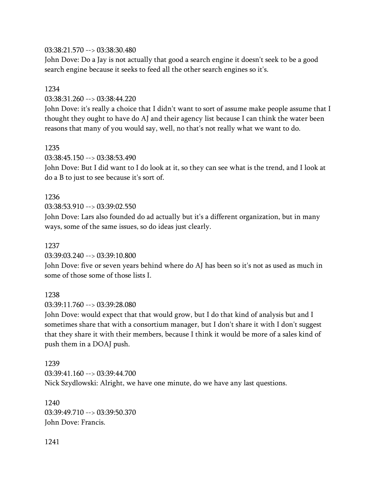## 03:38:21.570 --> 03:38:30.480

John Dove: Do a Jay is not actually that good a search engine it doesn't seek to be a good search engine because it seeks to feed all the other search engines so it's.

### 1234

03:38:31.260 --> 03:38:44.220

John Dove: it's really a choice that I didn't want to sort of assume make people assume that I thought they ought to have do AJ and their agency list because I can think the water been reasons that many of you would say, well, no that's not really what we want to do.

### 1235

03:38:45.150 --> 03:38:53.490

John Dove: But I did want to I do look at it, so they can see what is the trend, and I look at do a B to just to see because it's sort of.

## 1236

03:38:53.910 --> 03:39:02.550

John Dove: Lars also founded do ad actually but it's a different organization, but in many ways, some of the same issues, so do ideas just clearly.

### 1237

03:39:03.240 --> 03:39:10.800

John Dove: five or seven years behind where do AJ has been so it's not as used as much in some of those some of those lists I.

### 1238

03:39:11.760 --> 03:39:28.080

John Dove: would expect that that would grow, but I do that kind of analysis but and I sometimes share that with a consortium manager, but I don't share it with I don't suggest that they share it with their members, because I think it would be more of a sales kind of push them in a DOAJ push.

1239 03:39:41.160 --> 03:39:44.700 Nick Szydlowski: Alright, we have one minute, do we have any last questions.

1240 03:39:49.710 --> 03:39:50.370 John Dove: Francis.

### 1241